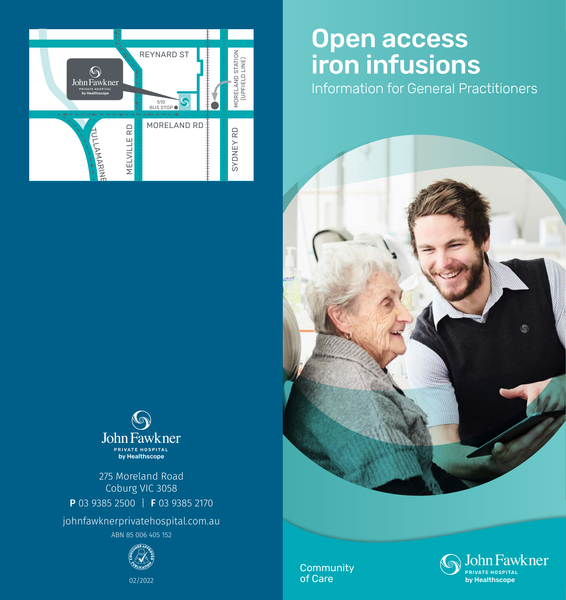

# John Fawkner PRIVATE HOSPITAL by Healthscope

275 Moreland Road Coburg VIC 3058 P 03 9385 2500 | F 03 9385 2170

johnfawknerprivatehospital.com.au

ABN 85 006 405 152



02/2022

# Open access iron infusions

Information for General Practitioners



**Community** of Care